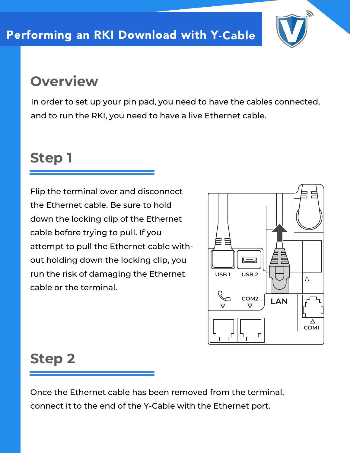

## **Overview**

In order to set up your pin pad, you need to have the cables connected, and to run the RKI, you need to have a live Ethernet cable.

## **Step 1**

Flip the terminal over and disconnect the Ethernet cable. Be sure to hold down the locking clip of the Ethernet cable before trying to pull. If you attempt to pull the Ethernet cable without holding down the locking clip, you run the risk of damaging the Ethernet cable or the terminal.



### **Step 2**

Once the Ethernet cable has been removed from the terminal, connect it to the end of the Y-Cable with the Ethernet port.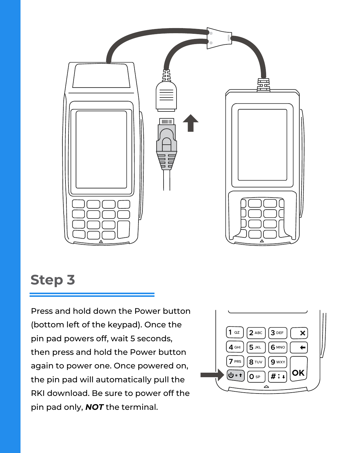

#### **Step 3**

Press and hold down the Power button (bottom left of the keypad). Once the pin pad powers off, wait 5 seconds, then press and hold the Power button again to power one. Once powered on, the pin pad will automatically pull the RKI download. Be sure to power off the pin pad only, *NOT* the terminal.